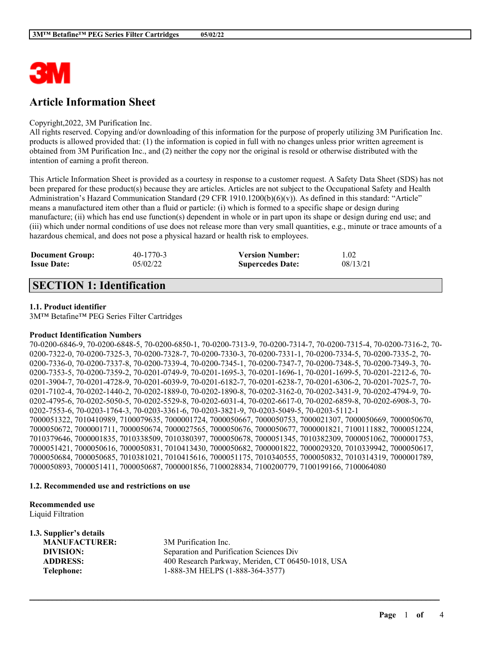

# **Article Information Sheet**

#### Copyright,2022, 3M Purification Inc.

All rights reserved. Copying and/or downloading of this information for the purpose of properly utilizing 3M Purification Inc. products is allowed provided that: (1) the information is copied in full with no changes unless prior written agreement is obtained from 3M Purification Inc., and (2) neither the copy nor the original is resold or otherwise distributed with the intention of earning a profit thereon.

This Article Information Sheet is provided as a courtesy in response to a customer request. A Safety Data Sheet (SDS) has not been prepared for these product(s) because they are articles. Articles are not subject to the Occupational Safety and Health Administration's Hazard Communication Standard (29 CFR 1910.1200(b)(6)(v)). As defined in this standard: "Article" means a manufactured item other than a fluid or particle: (i) which is formed to a specific shape or design during manufacture; (ii) which has end use function(s) dependent in whole or in part upon its shape or design during end use; and (iii) which under normal conditions of use does not release more than very small quantities, e.g., minute or trace amounts of a hazardous chemical, and does not pose a physical hazard or health risk to employees.

| <b>Document Group:</b> | 40-1770-3 | <b>Version Number:</b>  | 1.02     |
|------------------------|-----------|-------------------------|----------|
| <b>Issue Date:</b>     | 05/02/22  | <b>Supercedes Date:</b> | 08/13/21 |

# **SECTION 1: Identification**

#### **1.1. Product identifier**

3M™ Betafine™ PEG Series Filter Cartridges

#### **Product Identification Numbers**

70-0200-6846-9, 70-0200-6848-5, 70-0200-6850-1, 70-0200-7313-9, 70-0200-7314-7, 70-0200-7315-4, 70-0200-7316-2, 70- 0200-7322-0, 70-0200-7325-3, 70-0200-7328-7, 70-0200-7330-3, 70-0200-7331-1, 70-0200-7334-5, 70-0200-7335-2, 70- 0200-7336-0, 70-0200-7337-8, 70-0200-7339-4, 70-0200-7345-1, 70-0200-7347-7, 70-0200-7348-5, 70-0200-7349-3, 70- 0200-7353-5, 70-0200-7359-2, 70-0201-0749-9, 70-0201-1695-3, 70-0201-1696-1, 70-0201-1699-5, 70-0201-2212-6, 70- 0201-3904-7, 70-0201-4728-9, 70-0201-6039-9, 70-0201-6182-7, 70-0201-6238-7, 70-0201-6306-2, 70-0201-7025-7, 70- 0201-7102-4, 70-0202-1440-2, 70-0202-1889-0, 70-0202-1890-8, 70-0202-3162-0, 70-0202-3431-9, 70-0202-4794-9, 70- 0202-4795-6, 70-0202-5050-5, 70-0202-5529-8, 70-0202-6031-4, 70-0202-6617-0, 70-0202-6859-8, 70-0202-6908-3, 70- 0202-7553-6, 70-0203-1764-3, 70-0203-3361-6, 70-0203-3821-9, 70-0203-5049-5, 70-0203-5112-1 7000051322, 7010410989, 7100079635, 7000001724, 7000050667, 7000050753, 7000021307, 7000050669, 7000050670, 7000050672, 7000001711, 7000050674, 7000027565, 7000050676, 7000050677, 7000001821, 7100111882, 7000051224, 7010379646, 7000001835, 7010338509, 7010380397, 7000050678, 7000051345, 7010382309, 7000051062, 7000001753, 7000051421, 7000050616, 7000050831, 7010413430, 7000050682, 7000001822, 7000029320, 7010339942, 7000050617, 7000050684, 7000050685, 7010381021, 7010415616, 7000051175, 7010340555, 7000050832, 7010314319, 7000001789, 7000050893, 7000051411, 7000050687, 7000001856, 7100028834, 7100200779, 7100199166, 7100064080

#### **1.2. Recommended use and restrictions on use**

# **Recommended use**

Liquid Filtration

### **1.3. Supplier's details**

**MANUFACTURER:** 3M Purification Inc. **DIVISION:** Separation and Purification Sciences Div **ADDRESS:** 400 Research Parkway, Meriden, CT 06450-1018, USA **Telephone:** 1-888-3M HELPS (1-888-364-3577)

 $\mathcal{L}_\mathcal{L} = \mathcal{L}_\mathcal{L} = \mathcal{L}_\mathcal{L} = \mathcal{L}_\mathcal{L} = \mathcal{L}_\mathcal{L} = \mathcal{L}_\mathcal{L} = \mathcal{L}_\mathcal{L} = \mathcal{L}_\mathcal{L} = \mathcal{L}_\mathcal{L} = \mathcal{L}_\mathcal{L} = \mathcal{L}_\mathcal{L} = \mathcal{L}_\mathcal{L} = \mathcal{L}_\mathcal{L} = \mathcal{L}_\mathcal{L} = \mathcal{L}_\mathcal{L} = \mathcal{L}_\mathcal{L} = \mathcal{L}_\mathcal{L}$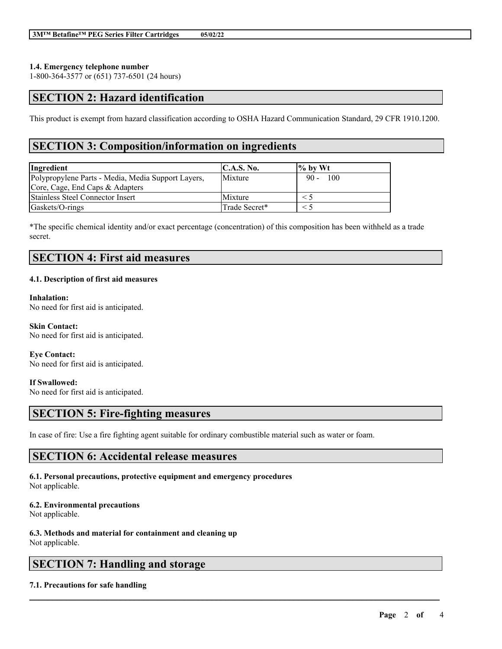### **1.4. Emergency telephone number**

1-800-364-3577 or (651) 737-6501 (24 hours)

### **SECTION 2: Hazard identification**

This product is exempt from hazard classification according to OSHA Hazard Communication Standard, 29 CFR 1910.1200.

# **SECTION 3: Composition/information on ingredients**

| Ingredient                                         | C.A.S. No.    | $\%$ by Wt |
|----------------------------------------------------|---------------|------------|
| Polypropylene Parts - Media, Media Support Layers, | Mixture       | $90 - 100$ |
| Core, Cage, End Caps & Adapters                    |               |            |
| Stainless Steel Connector Insert                   | Mixture       | $\leq 5$   |
| Gaskets/O-rings                                    | Trade Secret* | $\leq$ 5   |

\*The specific chemical identity and/or exact percentage (concentration) of this composition has been withheld as a trade secret.

# **SECTION 4: First aid measures**

#### **4.1. Description of first aid measures**

# **Inhalation:**

No need for first aid is anticipated.

**Skin Contact:** No need for first aid is anticipated.

**Eye Contact:** No need for first aid is anticipated.

### **If Swallowed:**

No need for first aid is anticipated.

### **SECTION 5: Fire-fighting measures**

In case of fire: Use a fire fighting agent suitable for ordinary combustible material such as water or foam.

 $\mathcal{L}_\mathcal{L} = \mathcal{L}_\mathcal{L} = \mathcal{L}_\mathcal{L} = \mathcal{L}_\mathcal{L} = \mathcal{L}_\mathcal{L} = \mathcal{L}_\mathcal{L} = \mathcal{L}_\mathcal{L} = \mathcal{L}_\mathcal{L} = \mathcal{L}_\mathcal{L} = \mathcal{L}_\mathcal{L} = \mathcal{L}_\mathcal{L} = \mathcal{L}_\mathcal{L} = \mathcal{L}_\mathcal{L} = \mathcal{L}_\mathcal{L} = \mathcal{L}_\mathcal{L} = \mathcal{L}_\mathcal{L} = \mathcal{L}_\mathcal{L}$ 

### **SECTION 6: Accidental release measures**

**6.1. Personal precautions, protective equipment and emergency procedures** Not applicable.

### **6.2. Environmental precautions**

Not applicable.

**6.3. Methods and material for containment and cleaning up** Not applicable.

# **SECTION 7: Handling and storage**

### **7.1. Precautions for safe handling**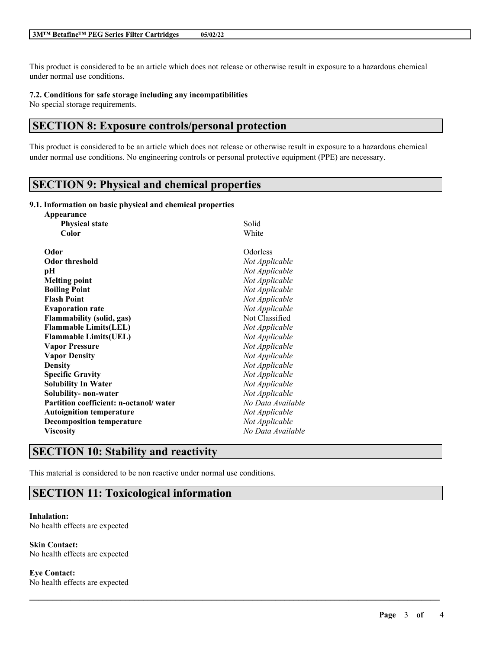This product is considered to be an article which does not release or otherwise result in exposure to a hazardous chemical under normal use conditions.

#### **7.2. Conditions for safe storage including any incompatibilities**

No special storage requirements.

### **SECTION 8: Exposure controls/personal protection**

This product is considered to be an article which does not release or otherwise result in exposure to a hazardous chemical under normal use conditions. No engineering controls or personal protective equipment (PPE) are necessary.

 $\mathcal{L}_\mathcal{L} = \mathcal{L}_\mathcal{L} = \mathcal{L}_\mathcal{L} = \mathcal{L}_\mathcal{L} = \mathcal{L}_\mathcal{L} = \mathcal{L}_\mathcal{L} = \mathcal{L}_\mathcal{L} = \mathcal{L}_\mathcal{L} = \mathcal{L}_\mathcal{L} = \mathcal{L}_\mathcal{L} = \mathcal{L}_\mathcal{L} = \mathcal{L}_\mathcal{L} = \mathcal{L}_\mathcal{L} = \mathcal{L}_\mathcal{L} = \mathcal{L}_\mathcal{L} = \mathcal{L}_\mathcal{L} = \mathcal{L}_\mathcal{L}$ 

### **SECTION 9: Physical and chemical properties**

#### **9.1. Information on basic physical and chemical properties**

| Appearance                             |                   |
|----------------------------------------|-------------------|
| <b>Physical state</b>                  | Solid             |
| Color                                  | White             |
| Odor                                   | Odorless          |
| <b>Odor threshold</b>                  | Not Applicable    |
| рH                                     | Not Applicable    |
| <b>Melting point</b>                   | Not Applicable    |
| <b>Boiling Point</b>                   | Not Applicable    |
| <b>Flash Point</b>                     | Not Applicable    |
| <b>Evaporation rate</b>                | Not Applicable    |
| <b>Flammability (solid, gas)</b>       | Not Classified    |
| <b>Flammable Limits(LEL)</b>           | Not Applicable    |
| <b>Flammable Limits(UEL)</b>           | Not Applicable    |
| <b>Vapor Pressure</b>                  | Not Applicable    |
| <b>Vapor Density</b>                   | Not Applicable    |
| <b>Density</b>                         | Not Applicable    |
| <b>Specific Gravity</b>                | Not Applicable    |
| <b>Solubility In Water</b>             | Not Applicable    |
| Solubility- non-water                  | Not Applicable    |
| Partition coefficient: n-octanol/water | No Data Available |
| <b>Autoignition temperature</b>        | Not Applicable    |
| <b>Decomposition temperature</b>       | Not Applicable    |
| <b>Viscosity</b>                       | No Data Available |

# **SECTION 10: Stability and reactivity**

This material is considered to be non reactive under normal use conditions.

# **SECTION 11: Toxicological information**

#### **Inhalation:** No health effects are expected

**Skin Contact:** No health effects are expected

**Eye Contact:** No health effects are expected